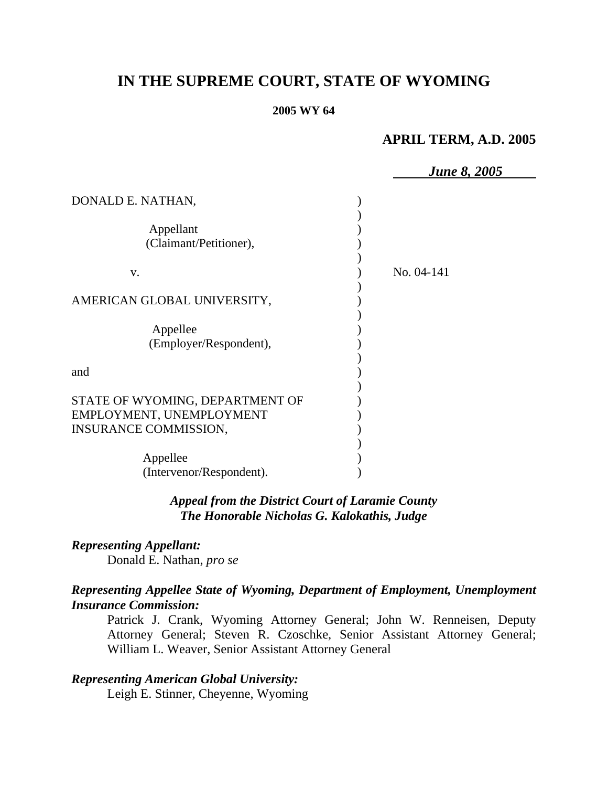## **IN THE SUPREME COURT, STATE OF WYOMING**

#### **2005 WY 64**

### **APRIL TERM, A.D. 2005**

| <b>June 8, 2005</b> |
|---------------------|
|                     |
|                     |
| No. 04-141          |
|                     |
|                     |
|                     |
|                     |
|                     |
|                     |

### *Appeal from the District Court of Laramie County The Honorable Nicholas G. Kalokathis, Judge*

# *Representing Appellant:*

Donald E. Nathan, *pro se* 

### *Representing Appellee State of Wyoming, Department of Employment, Unemployment Insurance Commission:*

Patrick J. Crank, Wyoming Attorney General; John W. Renneisen, Deputy Attorney General; Steven R. Czoschke, Senior Assistant Attorney General; William L. Weaver, Senior Assistant Attorney General

### *Representing American Global University:*

Leigh E. Stinner, Cheyenne, Wyoming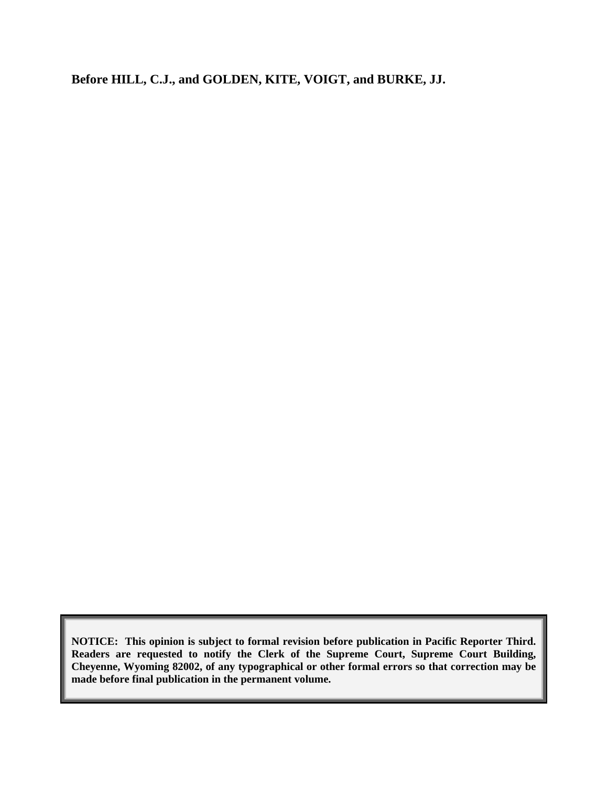**Before HILL, C.J., and GOLDEN, KITE, VOIGT, and BURKE, JJ.** 

**NOTICE: This opinion is subject to formal revision before publication in Pacific Reporter Third. Readers are requested to notify the Clerk of the Supreme Court, Supreme Court Building, Cheyenne, Wyoming 82002, of any typographical or other formal errors so that correction may be made before final publication in the permanent volume.**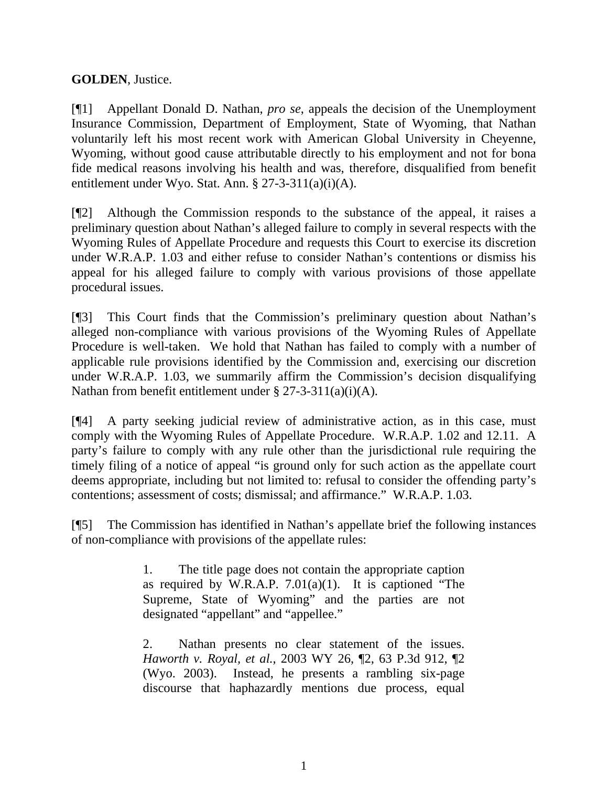### **GOLDEN**, Justice.

[¶1] Appellant Donald D. Nathan, *pro se*, appeals the decision of the Unemployment Insurance Commission, Department of Employment, State of Wyoming, that Nathan voluntarily left his most recent work with American Global University in Cheyenne, Wyoming, without good cause attributable directly to his employment and not for bona fide medical reasons involving his health and was, therefore, disqualified from benefit entitlement under Wyo. Stat. Ann. § 27-3-311(a)(i)(A).

[¶2] Although the Commission responds to the substance of the appeal, it raises a preliminary question about Nathan's alleged failure to comply in several respects with the Wyoming Rules of Appellate Procedure and requests this Court to exercise its discretion under W.R.A.P. 1.03 and either refuse to consider Nathan's contentions or dismiss his appeal for his alleged failure to comply with various provisions of those appellate procedural issues.

[¶3] This Court finds that the Commission's preliminary question about Nathan's alleged non-compliance with various provisions of the Wyoming Rules of Appellate Procedure is well-taken. We hold that Nathan has failed to comply with a number of applicable rule provisions identified by the Commission and, exercising our discretion under W.R.A.P. 1.03, we summarily affirm the Commission's decision disqualifying Nathan from benefit entitlement under § 27-3-311(a)(i)(A).

[¶4] A party seeking judicial review of administrative action, as in this case, must comply with the Wyoming Rules of Appellate Procedure. W.R.A.P. 1.02 and 12.11. A party's failure to comply with any rule other than the jurisdictional rule requiring the timely filing of a notice of appeal "is ground only for such action as the appellate court deems appropriate, including but not limited to: refusal to consider the offending party's contentions; assessment of costs; dismissal; and affirmance." W.R.A.P. 1.03.

[¶5] The Commission has identified in Nathan's appellate brief the following instances of non-compliance with provisions of the appellate rules:

> 1. The title page does not contain the appropriate caption as required by W.R.A.P.  $7.01(a)(1)$ . It is captioned "The Supreme, State of Wyoming" and the parties are not designated "appellant" and "appellee."

> 2. Nathan presents no clear statement of the issues. *Haworth v. Royal, et al.*, 2003 WY 26, ¶2, 63 P.3d 912, ¶2 (Wyo. 2003). Instead, he presents a rambling six-page discourse that haphazardly mentions due process, equal